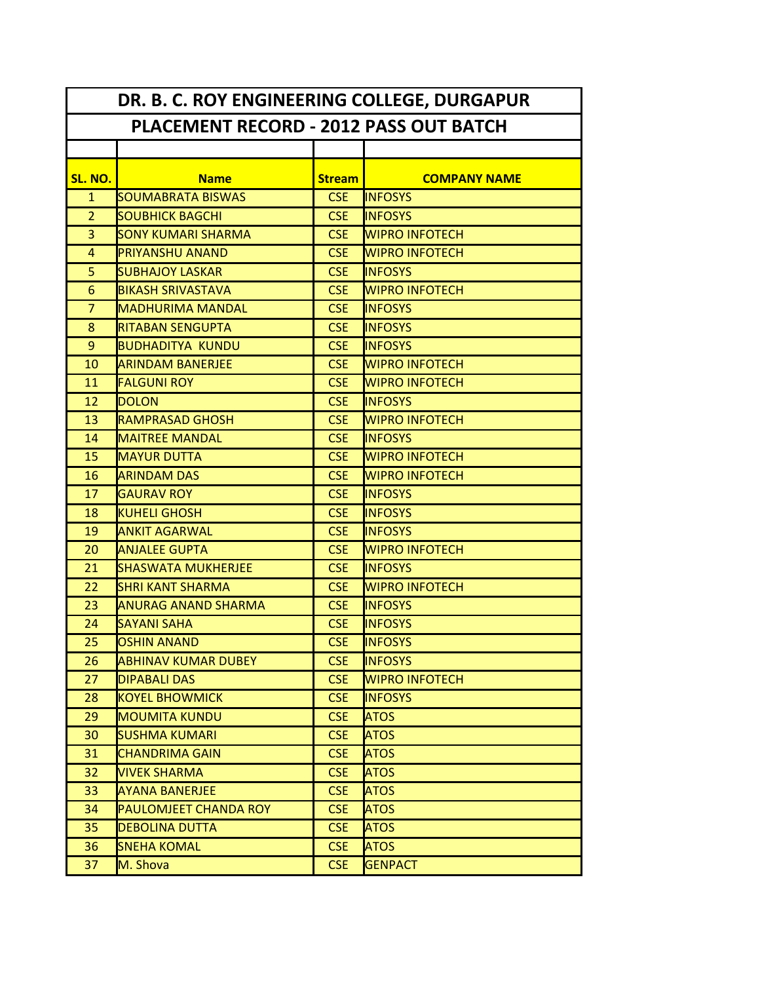| DR. B. C. ROY ENGINEERING COLLEGE, DURGAPUR   |                              |               |                       |
|-----------------------------------------------|------------------------------|---------------|-----------------------|
| <b>PLACEMENT RECORD - 2012 PASS OUT BATCH</b> |                              |               |                       |
|                                               |                              |               |                       |
| SL. NO.                                       | <b>Name</b>                  | <b>Stream</b> | <b>COMPANY NAME</b>   |
| $\mathbf{1}$                                  | <b>SOUMABRATA BISWAS</b>     | <b>CSE</b>    | <b>INFOSYS</b>        |
| $\overline{2}$                                | <b>SOUBHICK BAGCHI</b>       | <b>CSE</b>    | <b>INFOSYS</b>        |
| 3                                             | <b>SONY KUMARI SHARMA</b>    | <b>CSE</b>    | <b>WIPRO INFOTECH</b> |
| $\overline{4}$                                | <b>PRIYANSHU ANAND</b>       | <b>CSE</b>    | <b>WIPRO INFOTECH</b> |
| 5                                             | <b>SUBHAJOY LASKAR</b>       | <b>CSE</b>    | <b>INFOSYS</b>        |
| 6                                             | <b>BIKASH SRIVASTAVA</b>     | <b>CSE</b>    | <b>WIPRO INFOTECH</b> |
| $\overline{7}$                                | <b>MADHURIMA MANDAL</b>      | <b>CSE</b>    | <b>INFOSYS</b>        |
| 8                                             | <b>RITABAN SENGUPTA</b>      | <b>CSE</b>    | <b>INFOSYS</b>        |
| 9                                             | <b>BUDHADITYA KUNDU</b>      | <b>CSE</b>    | <b>INFOSYS</b>        |
| 10                                            | <b>ARINDAM BANERJEE</b>      | <b>CSE</b>    | <b>WIPRO INFOTECH</b> |
| 11                                            | <b>FALGUNI ROY</b>           | <b>CSE</b>    | <b>WIPRO INFOTECH</b> |
| 12                                            | <b>DOLON</b>                 | <b>CSE</b>    | <b>INFOSYS</b>        |
| 13                                            | <b>RAMPRASAD GHOSH</b>       | <b>CSE</b>    | <b>WIPRO INFOTECH</b> |
| 14                                            | <b>MAITREE MANDAL</b>        | <b>CSE</b>    | <b>INFOSYS</b>        |
| 15                                            | <b>MAYUR DUTTA</b>           | <b>CSE</b>    | <b>WIPRO INFOTECH</b> |
| 16                                            | <b>ARINDAM DAS</b>           | <b>CSE</b>    | <b>WIPRO INFOTECH</b> |
| 17                                            | <b>GAURAV ROY</b>            | <b>CSE</b>    | <b>INFOSYS</b>        |
| 18                                            | <b>KUHELI GHOSH</b>          | <b>CSE</b>    | <b>INFOSYS</b>        |
| 19                                            | <b>ANKIT AGARWAL</b>         | <b>CSE</b>    | <b>INFOSYS</b>        |
| 20                                            | IANJALEE GUPTA               | <b>CSE</b>    | <b>WIPRO INFOTECH</b> |
| 21                                            | <b>SHASWATA MUKHERJEE</b>    | <b>CSE</b>    | <b>INFOSYS</b>        |
| 22                                            | <b>SHRI KANT SHARMA</b>      | <b>CSE</b>    | <b>WIPRO INFOTECH</b> |
| 23                                            | <b>ANURAG ANAND SHARMA</b>   | <b>CSE</b>    | <b>INFOSYS</b>        |
| 24                                            | <b>SAYANI SAHA</b>           | <b>CSE</b>    | <b>INFOSYS</b>        |
| 25                                            | <b>OSHIN ANAND</b>           | <b>CSE</b>    | <b>INFOSYS</b>        |
| 26                                            | ABHINAV KUMAR DUBEY          | <b>CSE</b>    | <b>INFOSYS</b>        |
| 27                                            | <b>DIPABALI DAS</b>          | <b>CSE</b>    | <b>WIPRO INFOTECH</b> |
| 28                                            | KOYEL BHOWMICK               | <b>CSE</b>    | <b>INFOSYS</b>        |
| 29                                            | MOUMITA KUNDU                | <b>CSE</b>    | <b>ATOS</b>           |
| 30                                            | <b>SUSHMA KUMARI</b>         | <b>CSE</b>    | <b>ATOS</b>           |
| 31                                            | <b>CHANDRIMA GAIN</b>        | <b>CSE</b>    | <b>ATOS</b>           |
| 32                                            | <b>VIVEK SHARMA</b>          | <b>CSE</b>    | <b>ATOS</b>           |
| 33                                            | <b>AYANA BANERJEE</b>        | <b>CSE</b>    | <b>ATOS</b>           |
| 34                                            | <b>PAULOMJEET CHANDA ROY</b> | <b>CSE</b>    | <b>ATOS</b>           |
| 35                                            | <b>DEBOLINA DUTTA</b>        | <b>CSE</b>    | <b>ATOS</b>           |
| 36                                            | <b>SNEHA KOMAL</b>           | <b>CSE</b>    | <b>ATOS</b>           |
| 37                                            | M. Shova                     | <b>CSE</b>    | <b>GENPACT</b>        |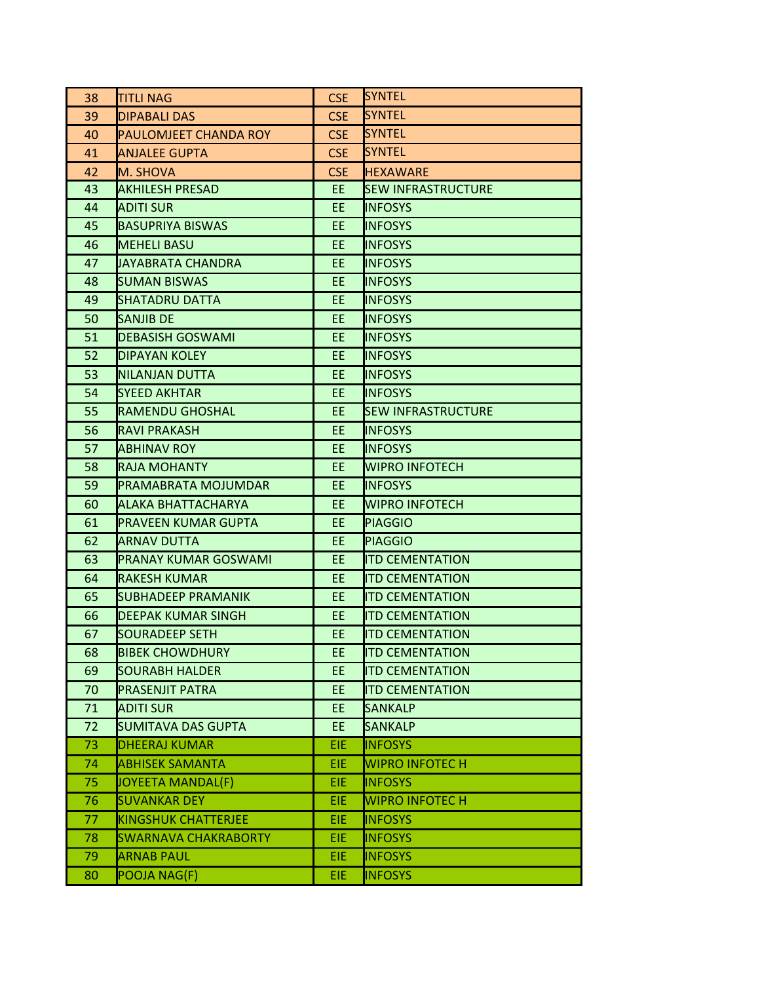| 38 | TITLI NAG                 | <b>CSE</b> | <b>SYNTEL</b>             |
|----|---------------------------|------------|---------------------------|
| 39 | DIPABALI DAS              | <b>CSE</b> | <b>SYNTEL</b>             |
| 40 | PAULOMJEET CHANDA ROY     | <b>CSE</b> | <b>SYNTEL</b>             |
| 41 | <b>ANJALEE GUPTA</b>      | <b>CSE</b> | <b>SYNTEL</b>             |
| 42 | M. SHOVA                  | <b>CSE</b> | <b>HEXAWARE</b>           |
| 43 | <b>AKHILESH PRESAD</b>    | EE.        | <b>SEW INFRASTRUCTURE</b> |
| 44 | ADITI SUR                 | EE.        | <b>INFOSYS</b>            |
| 45 | <b>BASUPRIYA BISWAS</b>   | EE.        | <b>INFOSYS</b>            |
| 46 | <b>MEHELI BASU</b>        | EE.        | <b>INFOSYS</b>            |
| 47 | JAYABRATA CHANDRA         | EE.        | <b>INFOSYS</b>            |
| 48 | <b>SUMAN BISWAS</b>       | EE.        | <b>INFOSYS</b>            |
| 49 | SHATADRU DATTA            | EE.        | <b>INFOSYS</b>            |
| 50 | SANJIB DE                 | EE.        | <b>INFOSYS</b>            |
| 51 | DEBASISH GOSWAMI          | EE.        | <b>INFOSYS</b>            |
| 52 | DIPAYAN KOLEY             | EE.        | <b>INFOSYS</b>            |
| 53 | NILANJAN DUTTA            | EE.        | <b>INFOSYS</b>            |
| 54 | <b>SYEED AKHTAR</b>       | EE.        | <b>INFOSYS</b>            |
| 55 | RAMENDU GHOSHAL           | EE.        | <b>SEW INFRASTRUCTURE</b> |
| 56 | <b>RAVI PRAKASH</b>       | EE.        | <b>INFOSYS</b>            |
| 57 | <b>ABHINAV ROY</b>        | EE.        | <b>INFOSYS</b>            |
| 58 | <b>RAJA MOHANTY</b>       | EE.        | <b>WIPRO INFOTECH</b>     |
| 59 | PRAMABRATA MOJUMDAR       | EE.        | <b>INFOSYS</b>            |
| 60 | ALAKA BHATTACHARYA        | EE.        | <b>WIPRO INFOTECH</b>     |
| 61 | PRAVEEN KUMAR GUPTA       | EE.        | <b>PIAGGIO</b>            |
| 62 | ARNAV DUTTA               | EE.        | <b>PIAGGIO</b>            |
| 63 | PRANAY KUMAR GOSWAMI      | EE.        | <b>ITD CEMENTATION</b>    |
| 64 | RAKESH KUMAR              | EE.        | <b>ITD CEMENTATION</b>    |
| 65 | SUBHADEEP PRAMANIK        | EE.        | <b>ITD CEMENTATION</b>    |
| 66 | DEEPAK KUMAR SINGH        | EE.        | <b>ITD CEMENTATION</b>    |
| 67 | SOURADEEP SETH            | EE.        | <b>ITD CEMENTATION</b>    |
| 68 | <b>BIBEK CHOWDHURY</b>    | EE         | <b>ITD CEMENTATION</b>    |
| 69 | SOURABH HALDER            | EE.        | <b>ITD CEMENTATION</b>    |
| 70 | <b>PRASENJIT PATRA</b>    | EE.        | <b>ITD CEMENTATION</b>    |
| 71 | <b>ADITI SUR</b>          | EE.        | <b>SANKALP</b>            |
| 72 | <b>SUMITAVA DAS GUPTA</b> | EE.        | <b>SANKALP</b>            |
| 73 | DHEERAJ KUMAR             | <b>EIE</b> | <b>INFOSYS</b>            |
| 74 | <b>ABHISEK SAMANTA</b>    | <b>EIE</b> | <b>WIPRO INFOTECH</b>     |
| 75 | JOYEETA MANDAL(F)         | EIE.       | <b>INFOSYS</b>            |
| 76 | <b>SUVANKAR DEY</b>       | <b>EIE</b> | <b>WIPRO INFOTEC H</b>    |
| 77 | KINGSHUK CHATTERJEE       | EIE        | <b>INFOSYS</b>            |
| 78 | SWARNAVA CHAKRABORTY      | <b>EIE</b> | <b>INFOSYS</b>            |
| 79 | <b>ARNAB PAUL</b>         | EIE        | <b>INFOSYS</b>            |
| 80 | POOJA NAG(F)              | <b>EIE</b> | <b>INFOSYS</b>            |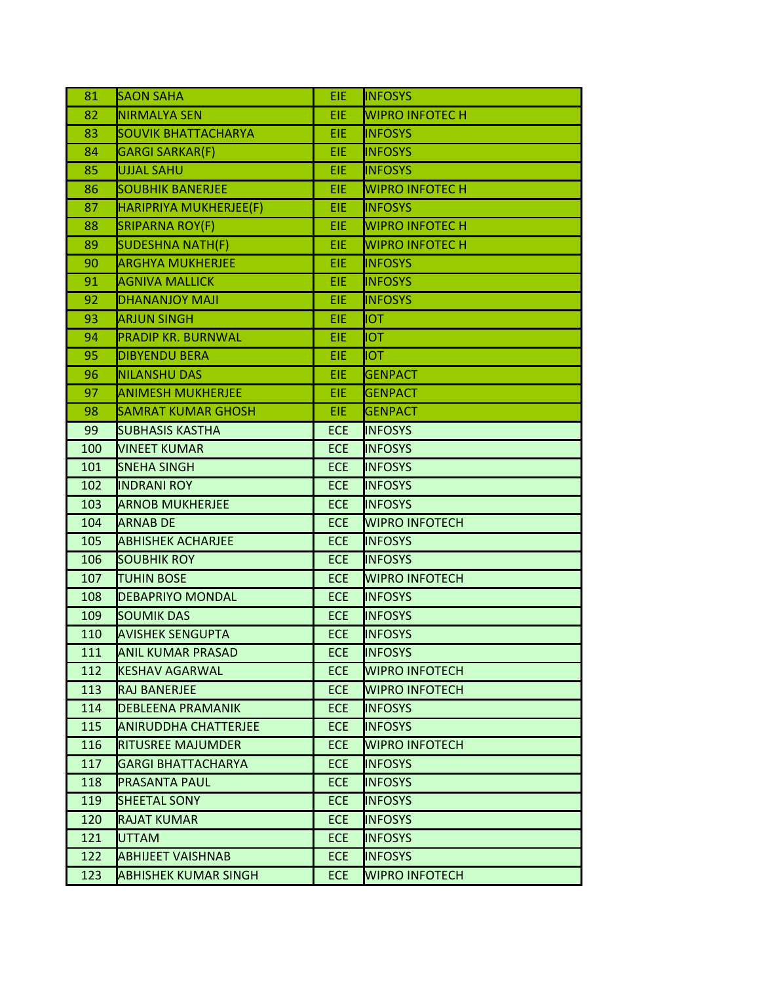| 81  | <b>SAON SAHA</b>            | <b>EIE</b> | <b>INFOSYS</b>        |
|-----|-----------------------------|------------|-----------------------|
| 82  | NIRMALYA SEN                | EIE        | <b>WIPRO INFOTECH</b> |
| 83  | <b>SOUVIK BHATTACHARYA</b>  | EIE        | <b>INFOSYS</b>        |
| 84  | <b>GARGI SARKAR(F)</b>      | <b>EIE</b> | <b>INFOSYS</b>        |
| 85  | <b>UJJAL SAHU</b>           | <b>EIE</b> | <b>INFOSYS</b>        |
| 86  | <b>SOUBHIK BANERJEE</b>     | <b>EIE</b> | <b>WIPRO INFOTECH</b> |
| 87  | HARIPRIYA MUKHERJEE(F)      | <b>EIE</b> | <b>INFOSYS</b>        |
| 88  | <b>SRIPARNA ROY(F)</b>      | EIE        | <b>WIPRO INFOTECH</b> |
| 89  | <b>SUDESHNA NATH(F)</b>     | EIE        | <b>WIPRO INFOTECH</b> |
| 90  | <b>ARGHYA MUKHERJEE</b>     | EIE        | <b>INFOSYS</b>        |
| 91  | <b>AGNIVA MALLICK</b>       | EIE        | <b>INFOSYS</b>        |
| 92  | <b>DHANANJOY MAJI</b>       | EIE        | <b>INFOSYS</b>        |
| 93  | ARJUN SINGH                 | EIE        | <b>IOT</b>            |
| 94  | <b>PRADIP KR. BURNWAL</b>   | EIE        | <b>TOI</b>            |
| 95  | <b>DIBYENDU BERA</b>        | EIE        | <b>IOT</b>            |
| 96  | <b>NILANSHU DAS</b>         | EIE        | <b>GENPACT</b>        |
| 97  | <b>ANIMESH MUKHERJEE</b>    | EIE        | <b>GENPACT</b>        |
| 98  | <b>SAMRAT KUMAR GHOSH</b>   | <b>EIE</b> | <b>GENPACT</b>        |
| 99  | SUBHASIS KASTHA             | <b>ECE</b> | <b>INFOSYS</b>        |
| 100 | <b>VINEET KUMAR</b>         | <b>ECE</b> | <b>INFOSYS</b>        |
| 101 | <b>SNEHA SINGH</b>          | <b>ECE</b> | <b>INFOSYS</b>        |
| 102 | <b>INDRANI ROY</b>          | <b>ECE</b> | <b>INFOSYS</b>        |
| 103 | <b>ARNOB MUKHERJEE</b>      | <b>ECE</b> | <b>INFOSYS</b>        |
| 104 | <b>ARNAB DE</b>             | <b>ECE</b> | <b>WIPRO INFOTECH</b> |
| 105 | <b>ABHISHEK ACHARJEE</b>    | <b>ECE</b> | <b>INFOSYS</b>        |
| 106 | <b>SOUBHIK ROY</b>          | <b>ECE</b> | <b>INFOSYS</b>        |
| 107 | <b>TUHIN BOSE</b>           | <b>ECE</b> | <b>WIPRO INFOTECH</b> |
| 108 | <b>DEBAPRIYO MONDAL</b>     | <b>ECE</b> | <b>INFOSYS</b>        |
| 109 | <b>SOUMIK DAS</b>           | <b>ECE</b> | <b>INFOSYS</b>        |
| 110 | <b>AVISHEK SENGUPTA</b>     | <b>ECE</b> | <b>INFOSYS</b>        |
| 111 | <b>ANIL KUMAR PRASAD</b>    | <b>ECE</b> | <b>INFOSYS</b>        |
| 112 | KESHAV AGARWAL              | <b>ECE</b> | <b>WIPRO INFOTECH</b> |
| 113 | RAJ BANERJEE                | <b>ECE</b> | <b>WIPRO INFOTECH</b> |
| 114 | <b>DEBLEENA PRAMANIK</b>    | <b>ECE</b> | <b>INFOSYS</b>        |
| 115 | <b>ANIRUDDHA CHATTERJEE</b> | <b>ECE</b> | <b>INFOSYS</b>        |
| 116 | <b>RITUSREE MAJUMDER</b>    | <b>ECE</b> | <b>WIPRO INFOTECH</b> |
| 117 | GARGI BHATTACHARYA          | <b>ECE</b> | <b>INFOSYS</b>        |
| 118 | PRASANTA PAUL               | <b>ECE</b> | <b>INFOSYS</b>        |
| 119 | <b>SHEETAL SONY</b>         | <b>ECE</b> | <b>INFOSYS</b>        |
| 120 | RAJAT KUMAR                 | <b>ECE</b> | <b>INFOSYS</b>        |
| 121 | UTTAM                       | <b>ECE</b> | <b>INFOSYS</b>        |
| 122 | ABHIJEET VAISHNAB           | <b>ECE</b> | <b>INFOSYS</b>        |
| 123 | <b>ABHISHEK KUMAR SINGH</b> | <b>ECE</b> | <b>WIPRO INFOTECH</b> |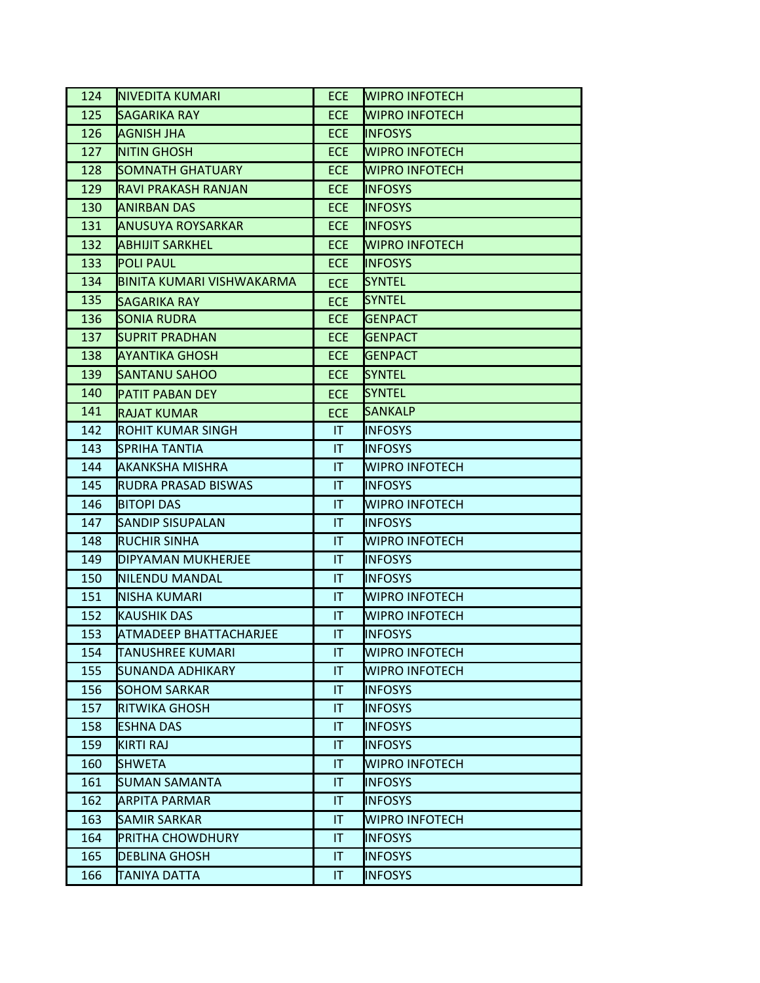| 124 | INIVEDITA KUMARI          | <b>ECE</b>             | <b>WIPRO INFOTECH</b> |
|-----|---------------------------|------------------------|-----------------------|
| 125 | SAGARIKA RAY              | <b>ECE</b>             | <b>WIPRO INFOTECH</b> |
| 126 | AGNISH JHA                | <b>ECE</b>             | <b>INFOSYS</b>        |
| 127 | <b>NITIN GHOSH</b>        | <b>ECE</b>             | <b>WIPRO INFOTECH</b> |
| 128 | SOMNATH GHATUARY          | <b>ECE</b>             | <b>WIPRO INFOTECH</b> |
| 129 | RAVI PRAKASH RANJAN       | <b>ECE</b>             | <b>INFOSYS</b>        |
| 130 | ANIRBAN DAS               | <b>ECE</b>             | <b>INFOSYS</b>        |
| 131 | ANUSUYA ROYSARKAR         | <b>ECE</b>             | <b>INFOSYS</b>        |
| 132 | ABHIJIT SARKHEL           | ECE.                   | <b>WIPRO INFOTECH</b> |
| 133 | <b>POLI PAUL</b>          | <b>ECE</b>             | <b>INFOSYS</b>        |
| 134 | BINITA KUMARI VISHWAKARMA | <b>ECE</b>             | <b>SYNTEL</b>         |
| 135 | SAGARIKA RAY              | <b>ECE</b>             | <b>SYNTEL</b>         |
| 136 | SONIA RUDRA               | <b>ECE</b>             | <b>GENPACT</b>        |
| 137 | <b>SUPRIT PRADHAN</b>     | <b>ECE</b>             | <b>GENPACT</b>        |
| 138 | AYANTIKA GHOSH            | ECE.                   | <b>GENPACT</b>        |
| 139 | <b>SANTANU SAHOO</b>      | <b>ECE</b>             | <b>SYNTEL</b>         |
| 140 | PATIT PABAN DEY           | <b>ECE</b>             | <b>SYNTEL</b>         |
| 141 | <b>RAJAT KUMAR</b>        | <b>ECE</b>             | <b>SANKALP</b>        |
| 142 | ROHIT KUMAR SINGH         | IT.                    | <b>INFOSYS</b>        |
| 143 | SPRIHA TANTIA             | $\mathsf{I}\mathsf{T}$ | <b>INFOSYS</b>        |
| 144 | AKANKSHA MISHRA           | $\mathsf{I}\mathsf{T}$ | <b>WIPRO INFOTECH</b> |
| 145 | RUDRA PRASAD BISWAS       | IT.                    | <b>INFOSYS</b>        |
| 146 | BITOPI DAS                | $\mathsf{I}\mathsf{T}$ | <b>WIPRO INFOTECH</b> |
| 147 | SANDIP SISUPALAN          | IT.                    | <b>INFOSYS</b>        |
| 148 | IRUCHIR SINHA             | $\mathsf{I}\mathsf{T}$ | <b>WIPRO INFOTECH</b> |
| 149 | DIPYAMAN MUKHERJEE        | IT.                    | <b>INFOSYS</b>        |
| 150 | INILENDU MANDAL           | $\mathsf{I}\mathsf{T}$ | <b>INFOSYS</b>        |
| 151 | NISHA KUMARI              | IT.                    | <b>WIPRO INFOTECH</b> |
| 152 | <b>KAUSHIK DAS</b>        | <b>IT</b>              | <b>WIPRO INFOTECH</b> |
| 153 | ATMADEEP BHATTACHARJEE    | $\mathsf{I}\mathsf{T}$ | <b>INFOSYS</b>        |
| 154 | TANUSHREE KUMARI          | IT                     | <b>WIPRO INFOTECH</b> |
| 155 | SUNANDA ADHIKARY          | IT                     | WIPRO INFOTECH        |
| 156 | <b>SOHOM SARKAR</b>       | T                      | <b>INFOSYS</b>        |
| 157 | RITWIKA GHOSH             | IT                     | <b>INFOSYS</b>        |
| 158 | <b>ESHNA DAS</b>          | $\mathsf{I}\mathsf{T}$ | <b>INFOSYS</b>        |
| 159 | KIRTI RAJ                 | IT                     | <b>INFOSYS</b>        |
| 160 | SHWETA                    | T                      | <b>WIPRO INFOTECH</b> |
| 161 | SUMAN SAMANTA             | IT                     | <b>INFOSYS</b>        |
| 162 | <b>ARPITA PARMAR</b>      | $\mathsf{I}\mathsf{T}$ | <b>INFOSYS</b>        |
| 163 | SAMIR SARKAR              | IT                     | <b>WIPRO INFOTECH</b> |
| 164 | PRITHA CHOWDHURY          | T                      | <b>INFOSYS</b>        |
| 165 | <b>DEBLINA GHOSH</b>      | IT                     | <b>INFOSYS</b>        |
| 166 | <b>TANIYA DATTA</b>       | T                      | <b>INFOSYS</b>        |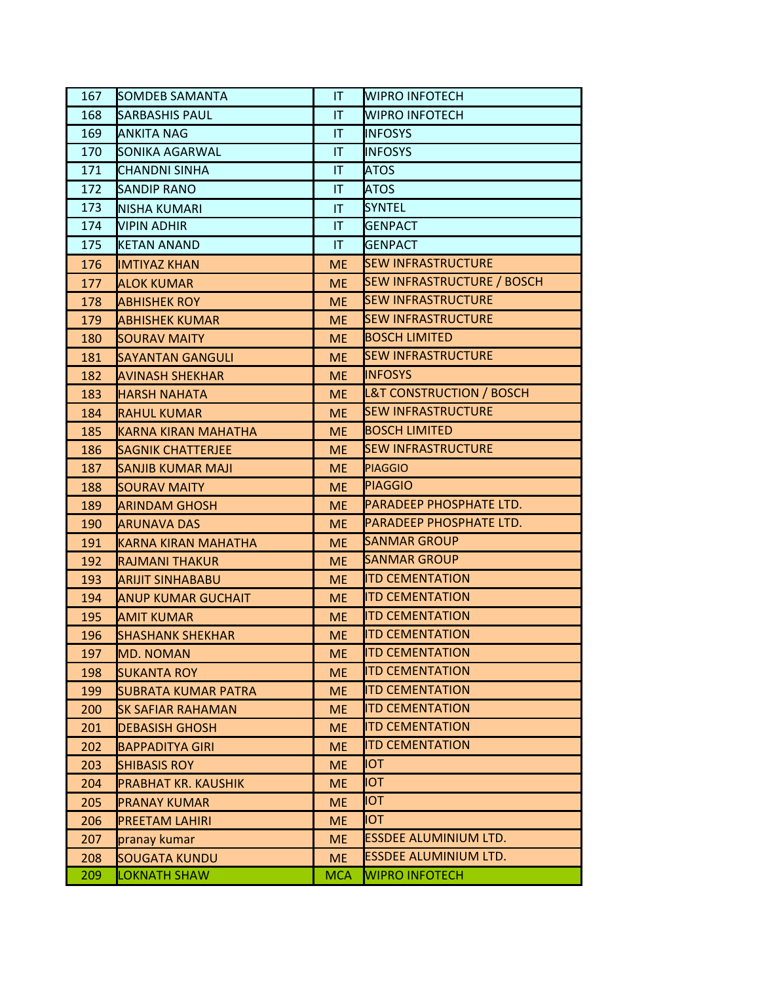| 167 | <b>SOMDEB SAMANTA</b>    | IT.                    | <b>WIPRO INFOTECH</b>               |
|-----|--------------------------|------------------------|-------------------------------------|
| 168 | SARBASHIS PAUL           | $\mathsf{I}\mathsf{T}$ | <b>WIPRO INFOTECH</b>               |
| 169 | <b>ANKITA NAG</b>        | $\mathsf{I}\mathsf{T}$ | <b>INFOSYS</b>                      |
| 170 | SONIKA AGARWAL           | IT                     | <b>INFOSYS</b>                      |
| 171 | CHANDNI SINHA            | IT                     | <b>ATOS</b>                         |
| 172 | <b>SANDIP RANO</b>       | IT                     | <b>ATOS</b>                         |
| 173 | INISHA KUMARI            | <b>IT</b>              | <b>SYNTEL</b>                       |
| 174 | VIPIN ADHIR              | $\mathsf{I}\mathsf{T}$ | <b>GENPACT</b>                      |
| 175 | <b>KETAN ANAND</b>       | $\mathsf{I}\mathsf{T}$ | <b>GENPACT</b>                      |
| 176 | <b>IMTIYAZ KHAN</b>      | <b>ME</b>              | <b>SEW INFRASTRUCTURE</b>           |
| 177 | ALOK KUMAR               | <b>ME</b>              | <b>SEW INFRASTRUCTURE / BOSCH</b>   |
| 178 | <b>ABHISHEK ROY</b>      | <b>ME</b>              | <b>SEW INFRASTRUCTURE</b>           |
| 179 | ABHISHEK KUMAR           | <b>ME</b>              | <b>SEW INFRASTRUCTURE</b>           |
| 180 | <b>SOURAV MAITY</b>      | <b>ME</b>              | <b>BOSCH LIMITED</b>                |
| 181 | <b>SAYANTAN GANGULI</b>  | <b>ME</b>              | <b>SEW INFRASTRUCTURE</b>           |
| 182 | <b>AVINASH SHEKHAR</b>   | <b>ME</b>              | <b>INFOSYS</b>                      |
| 183 | <b>HARSH NAHATA</b>      | <b>ME</b>              | <b>L&amp;T CONSTRUCTION / BOSCH</b> |
| 184 | <b>RAHUL KUMAR</b>       | <b>ME</b>              | <b>SEW INFRASTRUCTURE</b>           |
| 185 | KARNA KIRAN MAHATHA      | <b>ME</b>              | <b>BOSCH LIMITED</b>                |
| 186 | <b>SAGNIK CHATTERJEE</b> | <b>ME</b>              | <b>SEW INFRASTRUCTURE</b>           |
| 187 | SANJIB KUMAR MAJI        | <b>ME</b>              | <b>PIAGGIO</b>                      |
| 188 | SOURAV MAITY             | <b>ME</b>              | <b>PIAGGIO</b>                      |
| 189 | ARINDAM GHOSH            | <b>ME</b>              | PARADEEP PHOSPHATE LTD.             |
| 190 | <b>ARUNAVA DAS</b>       | <b>ME</b>              | PARADEEP PHOSPHATE LTD.             |
| 191 | KARNA KIRAN MAHATHA      | <b>ME</b>              | <b>SANMAR GROUP</b>                 |
| 192 | RAJMANI THAKUR           | <b>ME</b>              | <b>SANMAR GROUP</b>                 |
| 193 | <b>ARIJIT SINHABABU</b>  | <b>ME</b>              | <b>ITD CEMENTATION</b>              |
| 194 | ANUP KUMAR GUCHAIT       | <b>ME</b>              | <b>ITD CEMENTATION</b>              |
| 195 | <b>AMIT KUMAR</b>        | <b>ME</b>              | <b>ITD CEMENTATION</b>              |
| 196 | <b>SHASHANK SHEKHAR</b>  | <b>ME</b>              | <b>ITD CEMENTATION</b>              |
| 197 | MD. NOMAN                | <b>ME</b>              | <b>ITD CEMENTATION</b>              |
| 198 | <b>SUKANTA ROY</b>       | <b>ME</b>              | <b>ITD CEMENTATION</b>              |
| 199 | SUBRATA KUMAR PATRA      | <b>ME</b>              | <b>ITD CEMENTATION</b>              |
| 200 | <b>SK SAFIAR RAHAMAN</b> | <b>ME</b>              | <b>ITD CEMENTATION</b>              |
| 201 | <b>DEBASISH GHOSH</b>    | <b>ME</b>              | <b>ITD CEMENTATION</b>              |
| 202 | <b>BAPPADITYA GIRI</b>   | <b>ME</b>              | <b>ITD CEMENTATION</b>              |
| 203 | <b>SHIBASIS ROY</b>      | <b>ME</b>              | <b>IOT</b>                          |
| 204 | PRABHAT KR. KAUSHIK      | <b>ME</b>              | IOT                                 |
| 205 | <b>PRANAY KUMAR</b>      | <b>ME</b>              | <b>TOI</b>                          |
| 206 | <b>PREETAM LAHIRI</b>    | <b>ME</b>              | IOT                                 |
| 207 | pranay kumar             | <b>ME</b>              | <b>ESSDEE ALUMINIUM LTD.</b>        |
| 208 | <b>SOUGATA KUNDU</b>     | <b>ME</b>              | ESSDEE ALUMINIUM LTD.               |
| 209 | <b>LOKNATH SHAW</b>      | <b>MCA</b>             | <b>WIPRO INFOTECH</b>               |